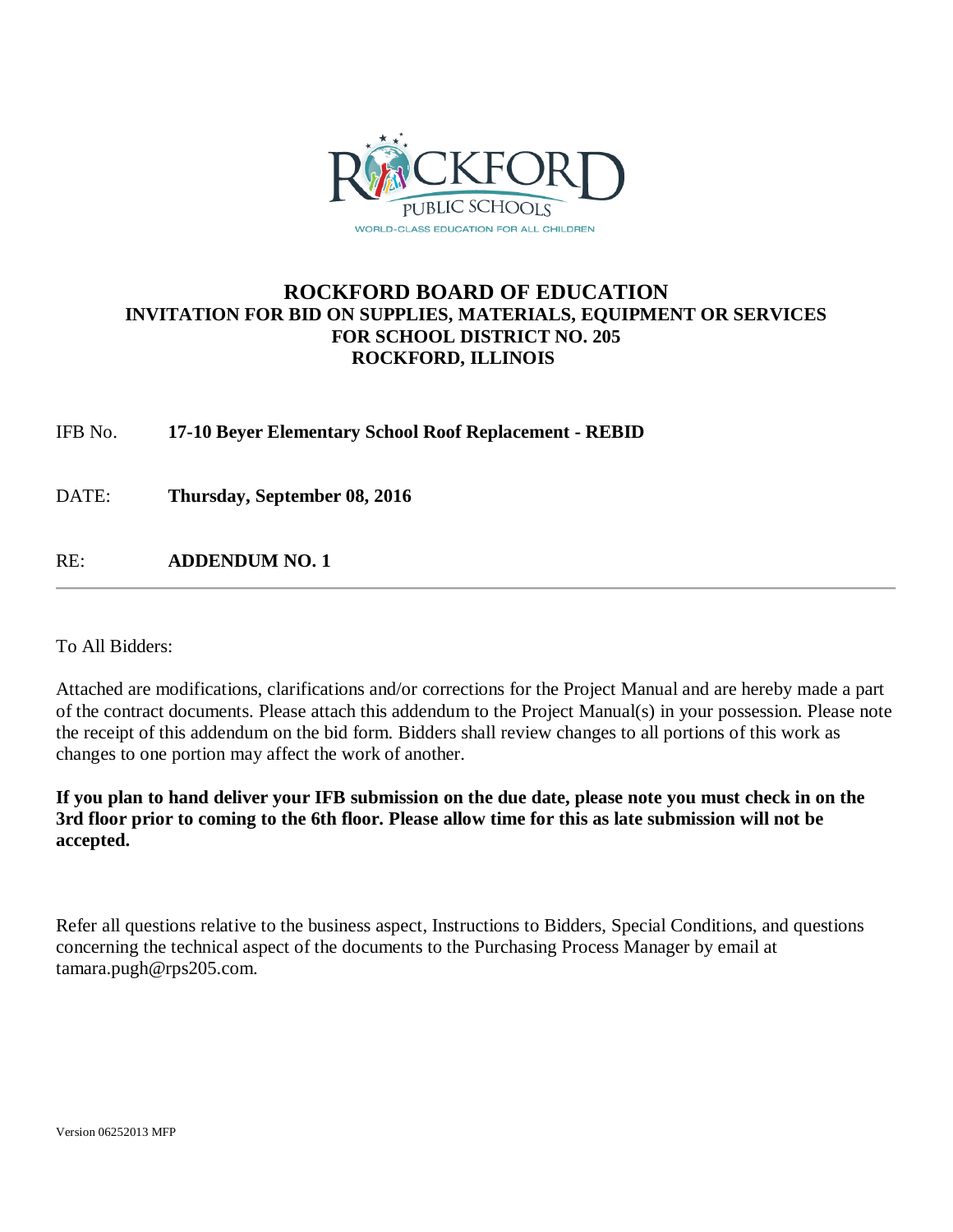

## **ROCKFORD BOARD OF EDUCATION INVITATION FOR BID ON SUPPLIES, MATERIALS, EQUIPMENT OR SERVICES FOR SCHOOL DISTRICT NO. 205 ROCKFORD, ILLINOIS**

IFB No. **17-10 Beyer Elementary School Roof Replacement - REBID**

DATE: **Thursday, September 08, 2016**

RE: **ADDENDUM NO. 1**

To All Bidders:

Attached are modifications, clarifications and/or corrections for the Project Manual and are hereby made a part of the contract documents. Please attach this addendum to the Project Manual(s) in your possession. Please note the receipt of this addendum on the bid form. Bidders shall review changes to all portions of this work as changes to one portion may affect the work of another.

**If you plan to hand deliver your IFB submission on the due date, please note you must check in on the 3rd floor prior to coming to the 6th floor. Please allow time for this as late submission will not be accepted.**

Refer all questions relative to the business aspect, Instructions to Bidders, Special Conditions, and questions concerning the technical aspect of the documents to the Purchasing Process Manager by email at tamara.pugh@rps205.com.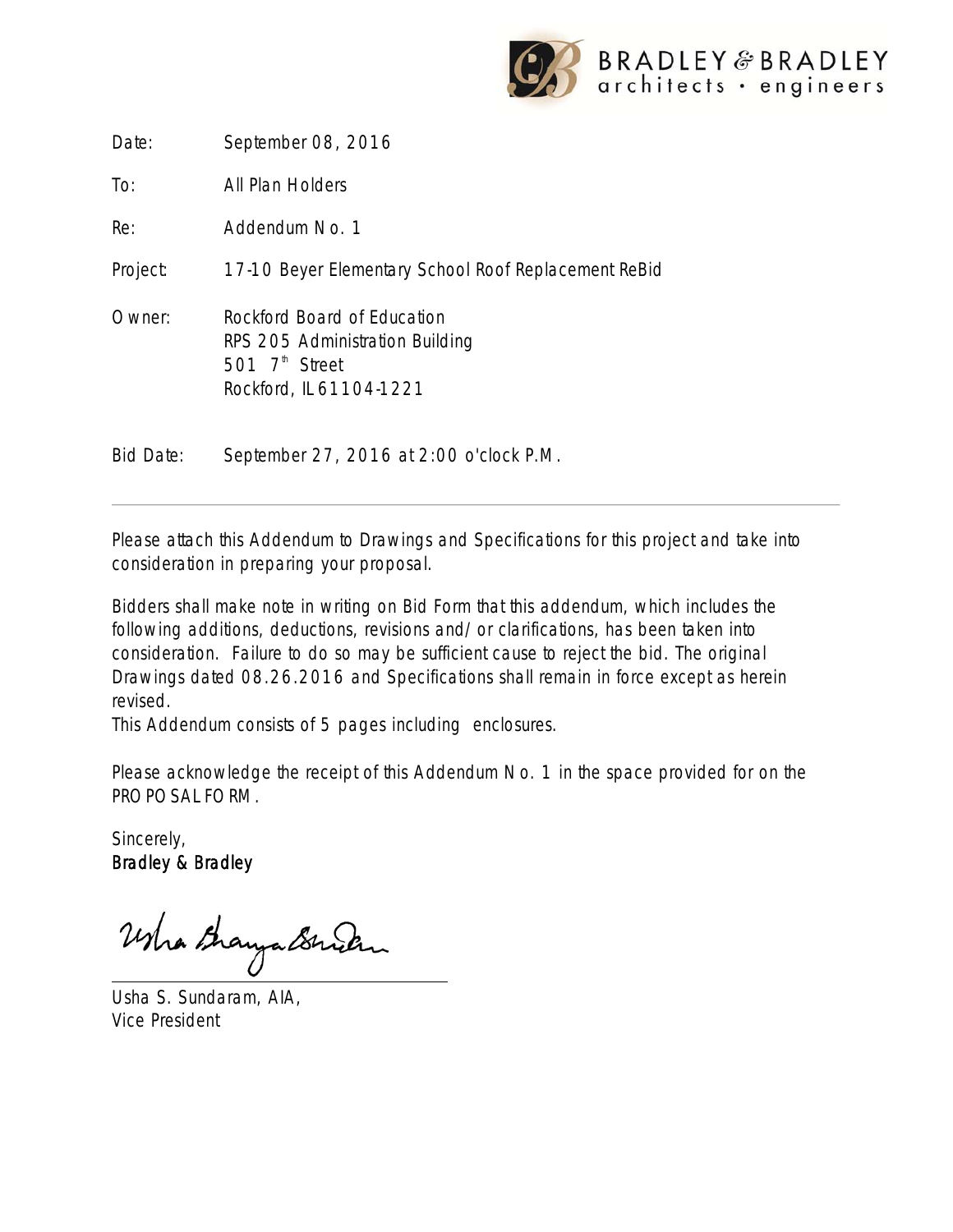

Date: September 08, 2016

To: All Plan Holders

Re: Addendum No. 1

Project: 17-10 Beyer Elementary School Roof Replacement ReBid

Owner: Rockford Board of Education RPS 205 Administration Building 501  $7<sup>th</sup>$  Street Rockford, IL 61104-1221

Bid Date: September 27, 2016 at 2:00 o'clock P.M.

Please attach this Addendum to Drawings and Specifications for this project and take into consideration in preparing your proposal.

Bidders shall make note in writing on Bid Form that this addendum, which includes the following additions, deductions, revisions and/or clarifications, has been taken into consideration. Failure to do so may be sufficient cause to reject the bid. The original Drawings dated 08.26.2016 and Specifications shall remain in force except as herein revised.

This Addendum consists of 5 pages including enclosures.

Please acknowledge the receipt of this Addendum No. 1 in the space provided for on the PROPOSAL FORM.

Sincerely, Bradley & Bradley

Whathayabruch

Usha S. Sundaram, AIA, Vice President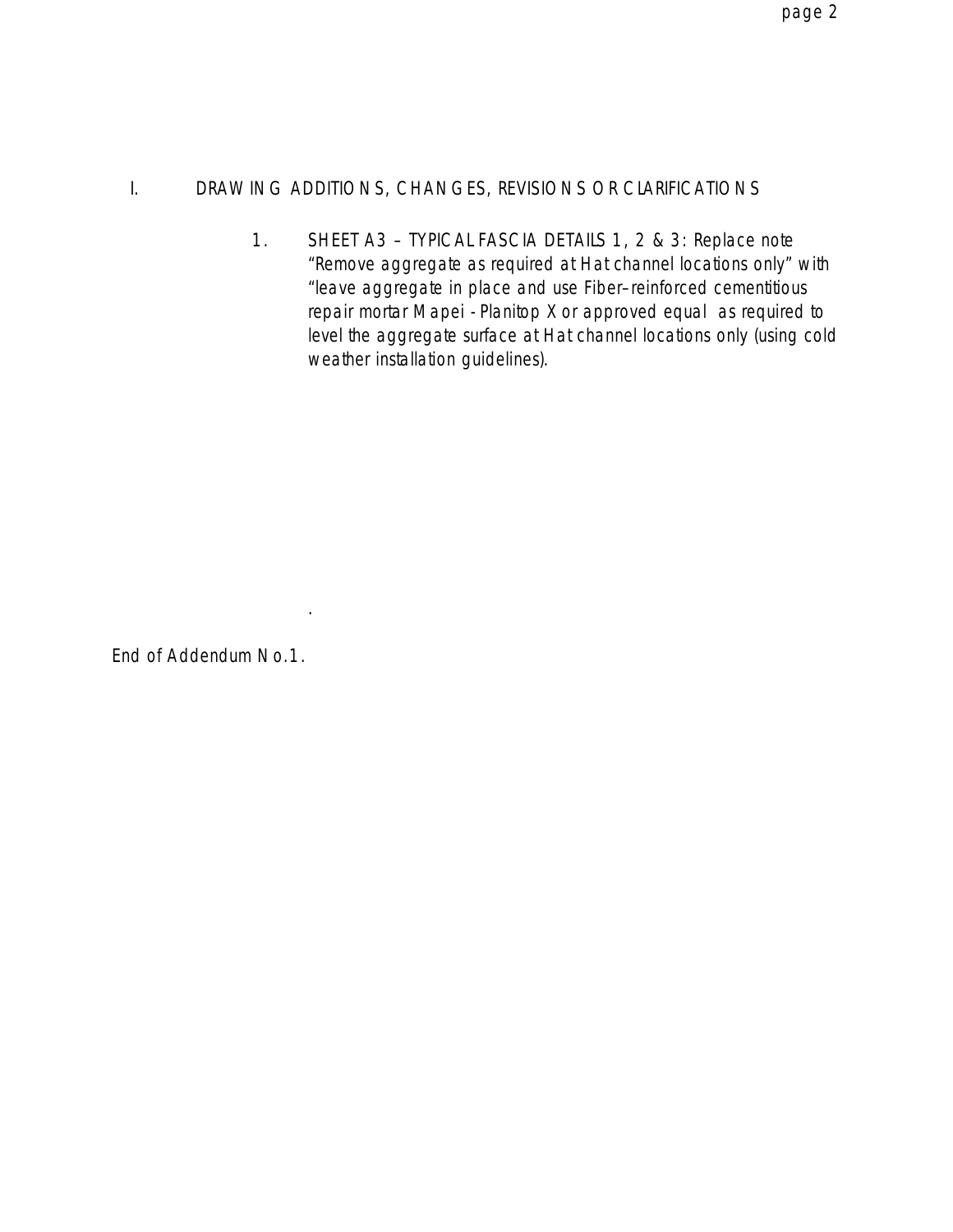# I. DRAWING ADDITIONS, CHANGES, REVISIONS OR CLARIFICATIONS

1. SHEET A3 – TYPICAL FASCIA DETAILS 1, 2 & 3: Replace note "Remove aggregate as required at Hat channel locations only" with "leave aggregate in place and use Fiber–reinforced cementitious repair mortar Mapei - Planitop X or approved equal as required to level the aggregate surface at Hat channel locations only (using cold weather installation guidelines).

End of Addendum No.1.

.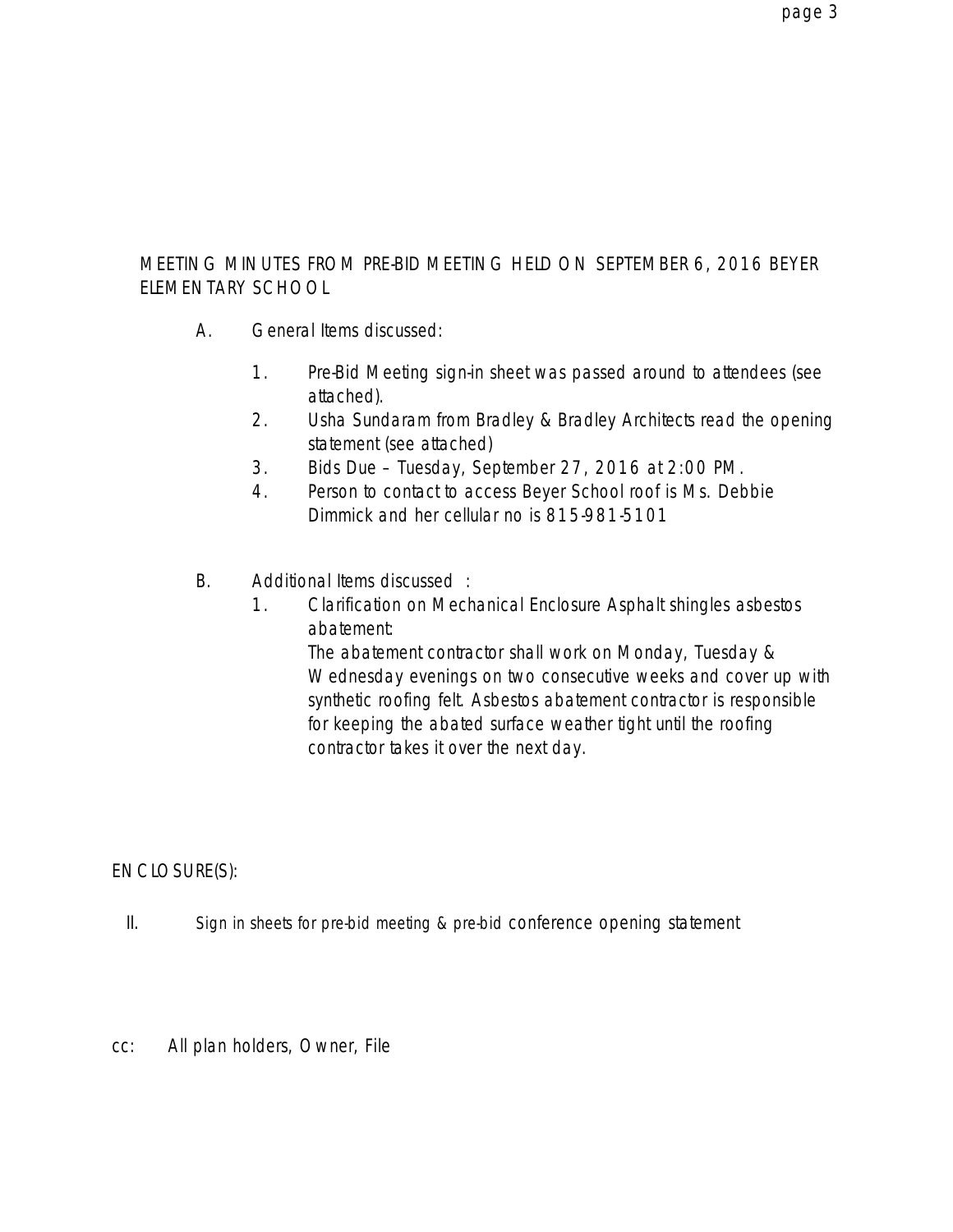## MEETING MINUTES FROM PRE-BID MEETING HELD ON SEPTEMBER 6, 2016 BEYER ELEMENTARY SCHOOL

- A. General Items discussed:
	- 1. Pre-Bid Meeting sign-in sheet was passed around to attendees (see attached).
	- 2. Usha Sundaram from Bradley & Bradley Architects read the opening statement (see attached)
	- 3. Bids Due Tuesday, September 27, 2016 at 2:00 PM.
	- 4. Person to contact to access Beyer School roof is Ms. Debbie Dimmick and her cellular no is 815-981-5101
- B. Additional Items discussed :
	- 1. Clarification on Mechanical Enclosure Asphalt shingles asbestos abatement:

The abatement contractor shall work on Monday, Tuesday & Wednesday evenings on two consecutive weeks and cover up with synthetic roofing felt. Asbestos abatement contractor is responsible for keeping the abated surface weather tight until the roofing contractor takes it over the next day.

ENCLOSURE(S):

- II. Sign in sheets for pre-bid meeting & pre-bid conference opening statement
- cc: All plan holders, Owner, File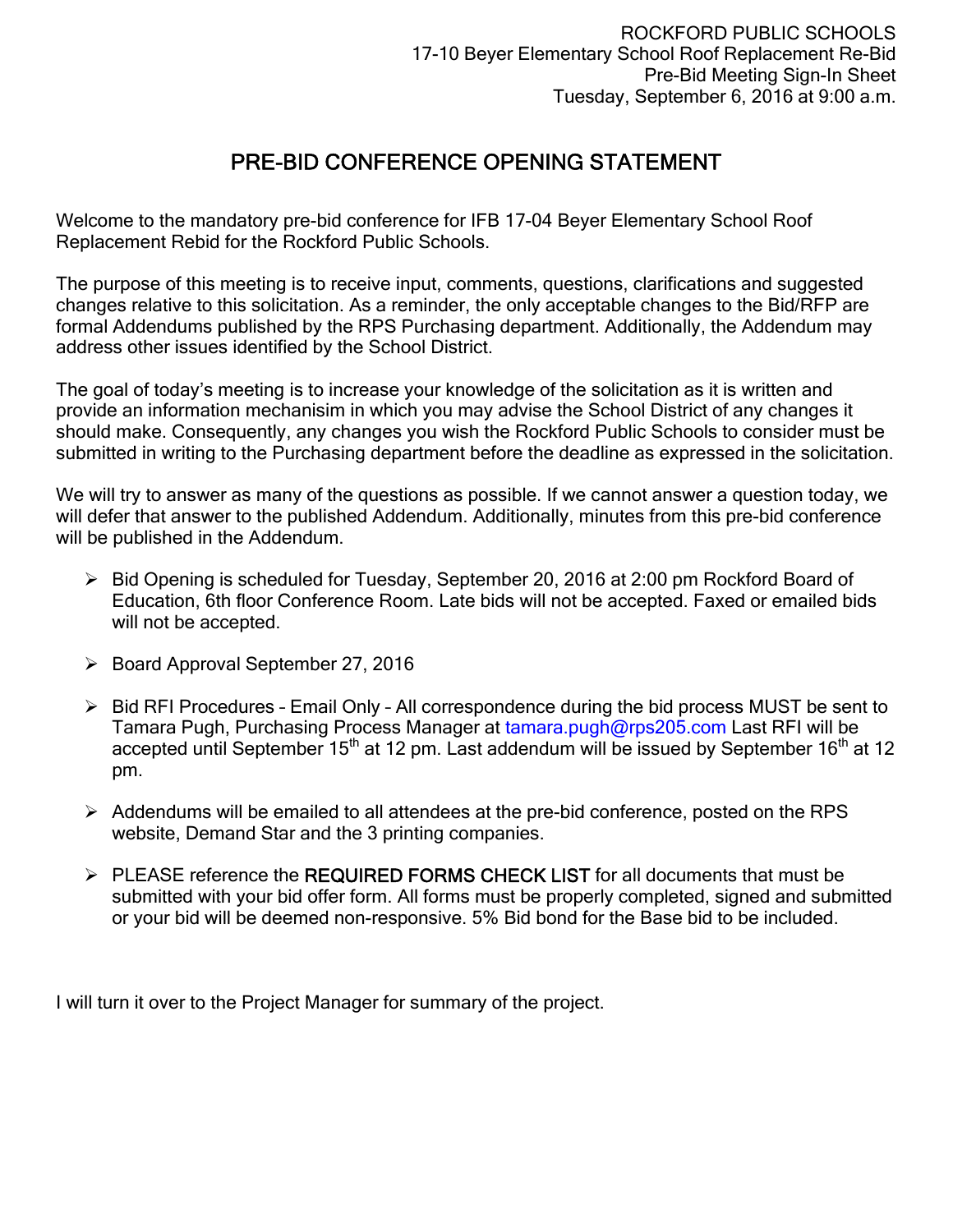# PRE-BID CONFERENCE OPENING STATEMENT

Welcome to the mandatory pre-bid conference for IFB 17-04 Beyer Elementary School Roof Replacement Rebid for the Rockford Public Schools.

The purpose of this meeting is to receive input, comments, questions, clarifications and suggested changes relative to this solicitation. As a reminder, the only acceptable changes to the Bid/RFP are formal Addendums published by the RPS Purchasing department. Additionally, the Addendum may address other issues identified by the School District.

The goal of today's meeting is to increase your knowledge of the solicitation as it is written and provide an information mechanisim in which you may advise the School District of any changes it should make. Consequently, any changes you wish the Rockford Public Schools to consider must be submitted in writing to the Purchasing department before the deadline as expressed in the solicitation.

We will try to answer as many of the questions as possible. If we cannot answer a question today, we will defer that answer to the published Addendum. Additionally, minutes from this pre-bid conference will be published in the Addendum.

- Bid Opening is scheduled for Tuesday, September 20, 2016 at 2:00 pm Rockford Board of Education, 6th floor Conference Room. Late bids will not be accepted. Faxed or emailed bids will not be accepted.
- $\triangleright$  Board Approval September 27, 2016
- $\triangleright$  Bid RFI Procedures Email Only All correspondence during the bid process MUST be sent to Tamara Pugh, Purchasing Process Manager at tamara.pugh@rps205.com Last RFI will be accepted until September  $15<sup>th</sup>$  at 12 pm. Last addendum will be issued by September  $16<sup>th</sup>$  at 12 pm.
- $\triangleright$  Addendums will be emailed to all attendees at the pre-bid conference, posted on the RPS website, Demand Star and the 3 printing companies.
- > PLEASE reference the REQUIRED FORMS CHECK LIST for all documents that must be submitted with your bid offer form. All forms must be properly completed, signed and submitted or your bid will be deemed non-responsive. 5% Bid bond for the Base bid to be included.

I will turn it over to the Project Manager for summary of the project.